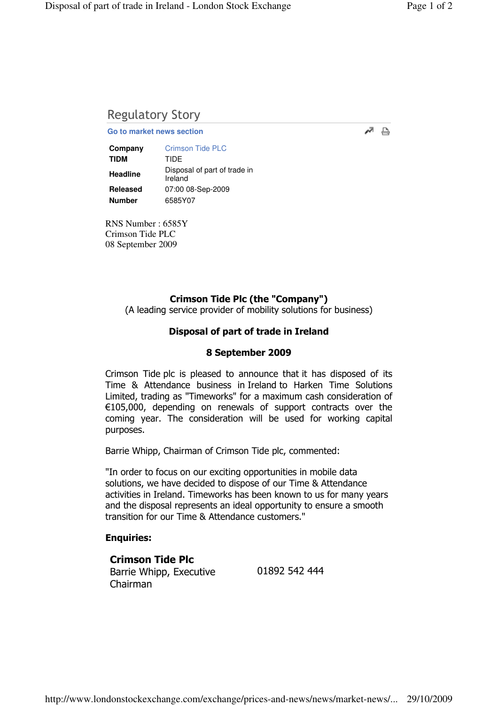# Regulatory Story

**Go to market news section**

| Company         | <b>Crimson Tide PLC</b>                 |
|-----------------|-----------------------------------------|
| <b>TIDM</b>     | TIDF                                    |
| <b>Headline</b> | Disposal of part of trade in<br>Ireland |
| <b>Released</b> | 07:00 08-Sep-2009                       |
| <b>Number</b>   | 6585Y07                                 |

RNS Number : 6585Y Crimson Tide PLC 08 September 2009

## Crimson Tide Plc (the "Company")

(A leading service provider of mobility solutions for business)

## Disposal of part of trade in Ireland

#### 8 September 2009

Crimson Tide plc is pleased to announce that it has disposed of its Time & Attendance business in Ireland to Harken Time Solutions Limited, trading as "Timeworks" for a maximum cash consideration of €105,000, depending on renewals of support contracts over the coming year. The consideration will be used for working capital purposes.

Barrie Whipp, Chairman of Crimson Tide plc, commented:

"In order to focus on our exciting opportunities in mobile data solutions, we have decided to dispose of our Time & Attendance activities in Ireland. Timeworks has been known to us for many years and the disposal represents an ideal opportunity to ensure a smooth transition for our Time & Attendance customers."

#### Enquiries:

Crimson Tide Plc Barrie Whipp, Executive Chairman

01892 542 444